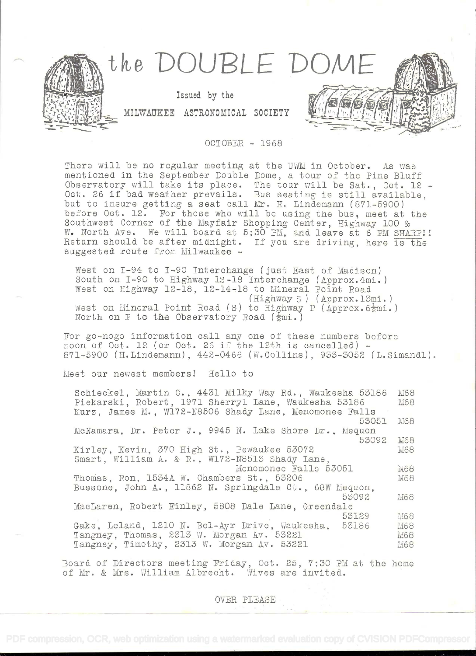

OCTOBER - 1968

There will be no regular meeting at the UWM in October. As was mentioned in the September Double Dome, a tour of the Pine Bluff Observatory will take its place. The tour will be Sat., Oct. 12 - Oct. 26 if bad weather prevails. Bus seating is still available, but to insure getting a seat call Mr. H. Lindemann (871-5900) before Oct. 12. For those who will be using the bus, meet at the Southwest Corner of the Mayfair Shopping Center, Highway 100 & W. North Ave. We will board at 5:30 PM, and leave at 6 PM SHARP!! Return should be after midnight. If you are driving, here is the suggested route from Milwaukee -

West on I-94 to I-90 Interchange (just East of Madison) South on I-90 to Highway 12-18 Interchange (Approx.4mi.) West on Highway 12-18, 12-14-18 to Mineral Point Road (Highway S) (Approx.13mi.) West on Mineral Point Road (S) to Highway P (Approx.  $6\frac{1}{2}$ mi.) North on P to the Observatory Road  $(\frac{1}{2}mi.)$ 

For go-nogo information call any one of these numbers before noon of Oct. 12 (or Oct. 26 if the 12th is cancelled) -871-5900 (H.Lindemann), 442-0466 (W.Collins), 933-3052 (L.Simandl).

Meet our newest members! Hello to

| Schieckel, Martin C., 4431 Milky Way Rd., Waukesha 53186<br>Piekarski, Robert, 1971 Sherryl Lane, Waukesha 53186 | M68<br>M68 |
|------------------------------------------------------------------------------------------------------------------|------------|
| Kurz, James M., W172-N8506 Shady Lane, Menomonee Falls                                                           |            |
| 53051                                                                                                            | M68        |
| McNamara, Dr. Peter J., 9945 N. Lake Shore Dr., Mequon                                                           |            |
| 53092                                                                                                            | M68        |
| Kirley, Kevin, 370 High St., Pewaukee 53072                                                                      | M68        |
| Smart, William A. & R., W172-N8513 Shady Lane,                                                                   |            |
| Menomonee Falls 53051                                                                                            | M68        |
| Thomas, Ron, 1534A W. Chambers St., 53206                                                                        | M68        |
| Bussone, John A., 11862 N. Springdale Ct., 68W Mequon.                                                           |            |
| 53092                                                                                                            | M68        |
| MacLaren, Robert Finley, 5808 Dale Lane. Greendale                                                               |            |
| 53129                                                                                                            | M68        |
| Gake, Leland, 1210 N. Bel-Ayr Drive, Waukesha, 53186                                                             | M68        |
| Tangney, Thomas, 2313 W. Morgan Av. 53221                                                                        | M68        |
| Tangney, Timothy, 2313 W. Morgan Av. 53221                                                                       | M68        |

Board of Directors meeting Friday, Oct. 25, 7:30 PM at the home of Mr. & Mrs. William Albrecht. Wives are invited.